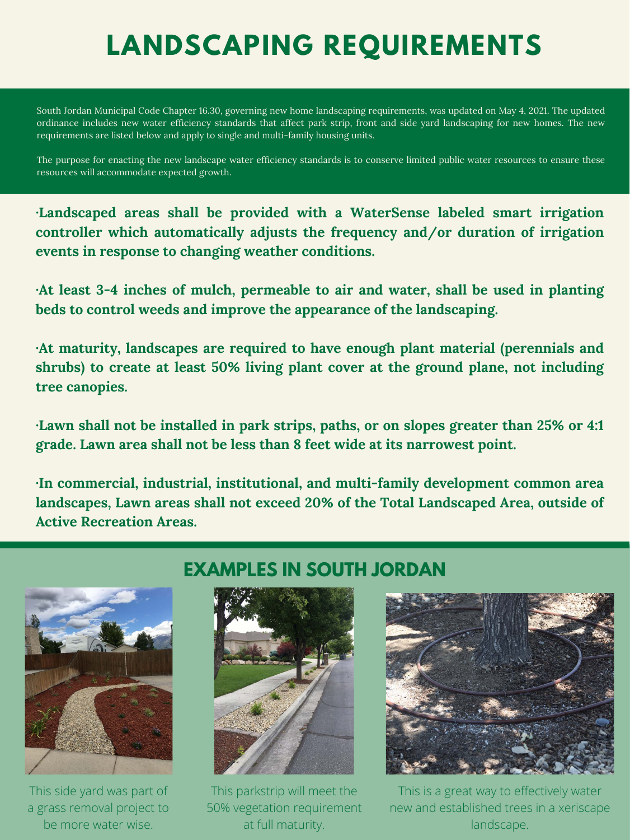**·Landscaped areas shall be provided with a WaterSense labeled smart irrigation controller which automatically adjusts the frequency and/or duration of irrigation events in response to changing weather conditions.**

**·At least 3-4 inches of mulch, permeable to air and water, shall be used in planting beds to control weeds and improve the appearance of the landscaping.**

**·At maturity, landscapes are required to have enough plant material (perennials and shrubs) to create at least 50% living plant cover at the ground plane, not including tree canopies.**

**·Lawn shall not be installed in park strips, paths, or on slopes greater than 25% or 4:1**

**grade. Lawn area shall not be less than 8 feet wide at its narrowest point.**

**·In commercial, industrial, institutional, and multi-family development common area landscapes, Lawn areas shall not exceed 20% of the Total Landscaped Area, outside of Active Recreation Areas.**

## **LANDSCAPING REQUIREMENTS**

South Jordan Municipal Code Chapter 16.30, governing new home landscaping requirements, was updated on May 4, 2021. The updated ordinance includes new water efficiency standards that affect park strip, front and side yard landscaping for new homes. The new requirements are listed below and apply to single and multi-family housing units.

The purpose for enacting the new landscape water efficiency standards is to conserve limited public water resources to ensure these resources will accommodate expected growth.

## **EXAMPLES IN SOUTH JORDAN**



This side yard was part of a grass removal project to be more water wise.



This parkstrip will meet the 50% vegetation requirement at full maturity.



This is a great way to effectively water new and established trees in a xeriscape landscape.